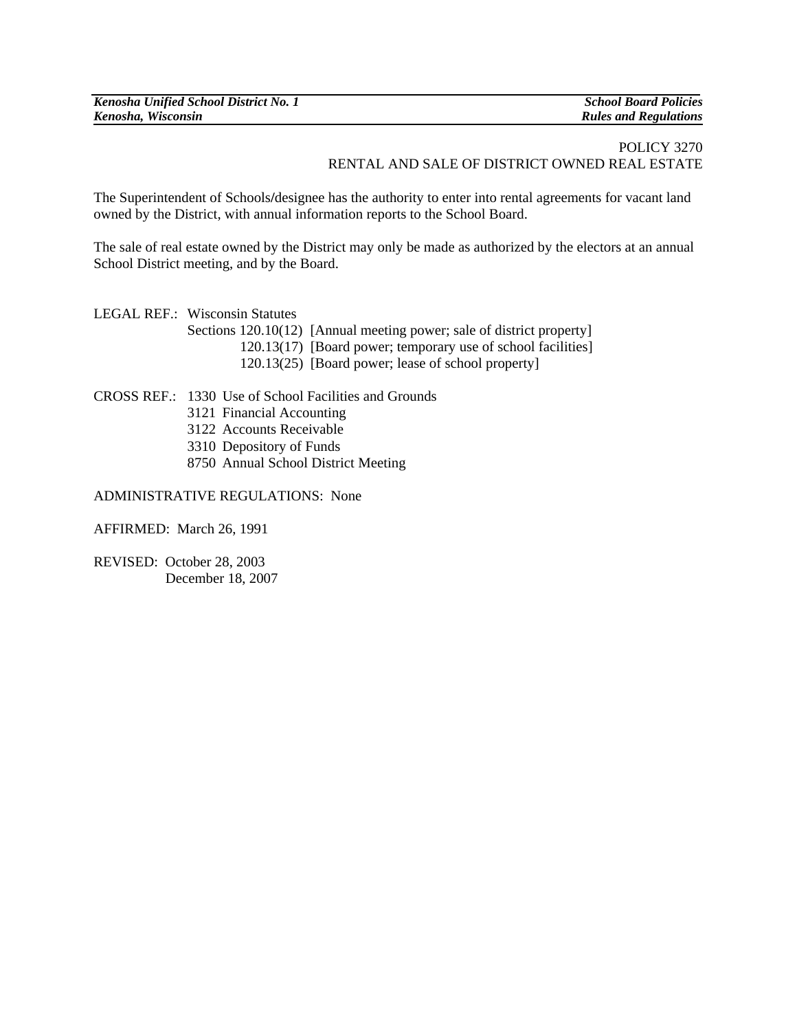| Kenosha Unified School District No. 1 | <b>School Board Policies</b> |
|---------------------------------------|------------------------------|
| Kenosha, Wisconsin                    | <b>Rules and Regulations</b> |

## POLICY 3270 RENTAL AND SALE OF DISTRICT OWNED REAL ESTATE

The Superintendent of Schools**/**designee has the authority to enter into rental agreements for vacant land owned by the District, with annual information reports to the School Board.

The sale of real estate owned by the District may only be made as authorized by the electors at an annual School District meeting, and by the Board.

LEGAL REF.: Wisconsin Statutes

- Sections 120.10(12) [Annual meeting power; sale of district property]
	- 120.13(17) [Board power; temporary use of school facilities]
		- 120.13(25) [Board power; lease of school property]

CROSS REF.: 1330 Use of School Facilities and Grounds

- 3121 Financial Accounting
- 3122 Accounts Receivable
- 3310 Depository of Funds
- 8750 Annual School District Meeting

## ADMINISTRATIVE REGULATIONS: None

AFFIRMED:March 26, 1991

REVISED: October 28, 2003 December 18, 2007